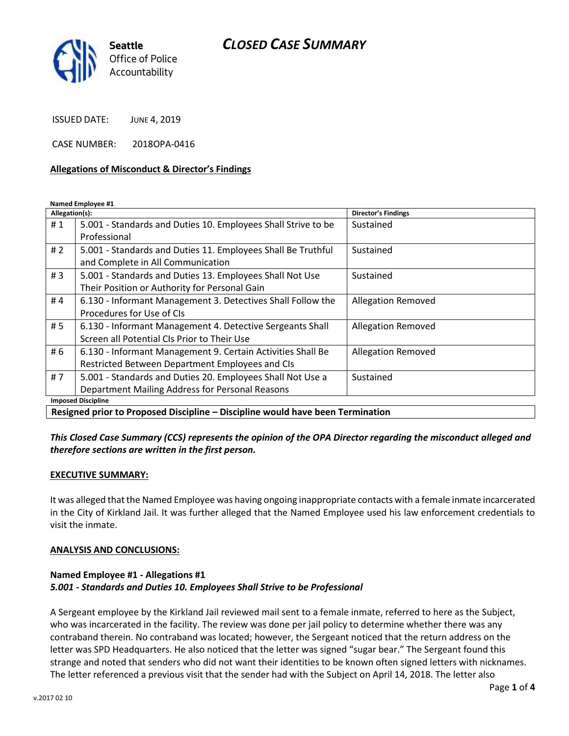## *CLOSED CASE SUMMARY*



ISSUED DATE: JUNE 4, 2019

CASE NUMBER: 2018OPA-0416

#### **Allegations of Misconduct & Director's Findings**

**Named Employee #1**

| Allegation(s):                                                                 |                                                               | Director's Findings       |
|--------------------------------------------------------------------------------|---------------------------------------------------------------|---------------------------|
| #1                                                                             | 5.001 - Standards and Duties 10. Employees Shall Strive to be | Sustained                 |
|                                                                                | Professional                                                  |                           |
| # $2$                                                                          | 5.001 - Standards and Duties 11. Employees Shall Be Truthful  | Sustained                 |
|                                                                                | and Complete in All Communication                             |                           |
| #3                                                                             | 5.001 - Standards and Duties 13. Employees Shall Not Use      | Sustained                 |
|                                                                                | Their Position or Authority for Personal Gain                 |                           |
| #4                                                                             | 6.130 - Informant Management 3. Detectives Shall Follow the   | <b>Allegation Removed</b> |
|                                                                                | Procedures for Use of CIs                                     |                           |
| # 5                                                                            | 6.130 - Informant Management 4. Detective Sergeants Shall     | <b>Allegation Removed</b> |
|                                                                                | Screen all Potential CIs Prior to Their Use                   |                           |
| # 6                                                                            | 6.130 - Informant Management 9. Certain Activities Shall Be   | <b>Allegation Removed</b> |
|                                                                                | Restricted Between Department Employees and CIs               |                           |
| #7                                                                             | 5.001 - Standards and Duties 20. Employees Shall Not Use a    | Sustained                 |
|                                                                                | Department Mailing Address for Personal Reasons               |                           |
| <b>Imposed Discipline</b>                                                      |                                                               |                           |
| Resigned prior to Proposed Discipline - Discipline would have been Termination |                                                               |                           |

*This Closed Case Summary (CCS) represents the opinion of the OPA Director regarding the misconduct alleged and therefore sections are written in the first person.* 

#### **EXECUTIVE SUMMARY:**

It was alleged that the Named Employee was having ongoing inappropriate contacts with a female inmate incarcerated in the City of Kirkland Jail. It was further alleged that the Named Employee used his law enforcement credentials to visit the inmate.

#### **ANALYSIS AND CONCLUSIONS:**

#### **Named Employee #1 - Allegations #1** *5.001 - Standards and Duties 10. Employees Shall Strive to be Professional*

A Sergeant employee by the Kirkland Jail reviewed mail sent to a female inmate, referred to here as the Subject, who was incarcerated in the facility. The review was done per jail policy to determine whether there was any contraband therein. No contraband was located; however, the Sergeant noticed that the return address on the letter was SPD Headquarters. He also noticed that the letter was signed "sugar bear." The Sergeant found this strange and noted that senders who did not want their identities to be known often signed letters with nicknames. The letter referenced a previous visit that the sender had with the Subject on April 14, 2018. The letter also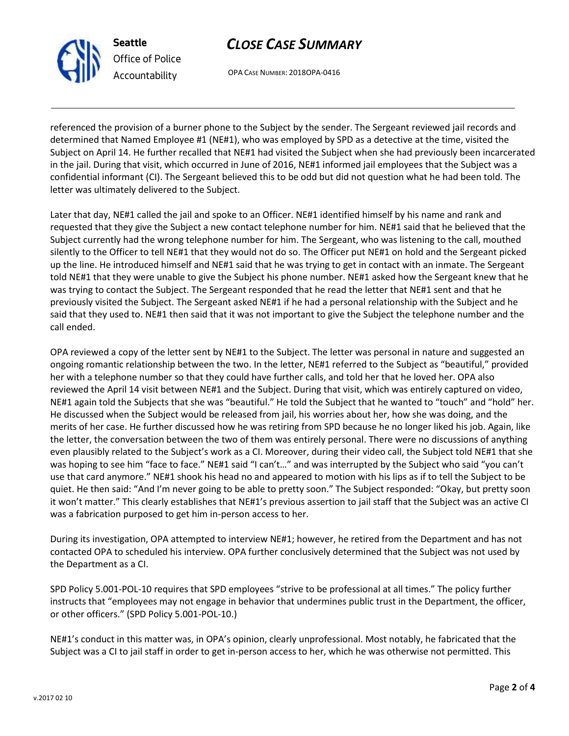# *CLOSE CASE SUMMARY*

OPA CASE NUMBER: 2018OPA-0416

referenced the provision of a burner phone to the Subject by the sender. The Sergeant reviewed jail records and determined that Named Employee #1 (NE#1), who was employed by SPD as a detective at the time, visited the Subject on April 14. He further recalled that NE#1 had visited the Subject when she had previously been incarcerated in the jail. During that visit, which occurred in June of 2016, NE#1 informed jail employees that the Subject was a confidential informant (CI). The Sergeant believed this to be odd but did not question what he had been told. The letter was ultimately delivered to the Subject.

Later that day, NE#1 called the jail and spoke to an Officer. NE#1 identified himself by his name and rank and requested that they give the Subject a new contact telephone number for him. NE#1 said that he believed that the Subject currently had the wrong telephone number for him. The Sergeant, who was listening to the call, mouthed silently to the Officer to tell NE#1 that they would not do so. The Officer put NE#1 on hold and the Sergeant picked up the line. He introduced himself and NE#1 said that he was trying to get in contact with an inmate. The Sergeant told NE#1 that they were unable to give the Subject his phone number. NE#1 asked how the Sergeant knew that he was trying to contact the Subject. The Sergeant responded that he read the letter that NE#1 sent and that he previously visited the Subject. The Sergeant asked NE#1 if he had a personal relationship with the Subject and he said that they used to. NE#1 then said that it was not important to give the Subject the telephone number and the call ended.

OPA reviewed a copy of the letter sent by NE#1 to the Subject. The letter was personal in nature and suggested an ongoing romantic relationship between the two. In the letter, NE#1 referred to the Subject as "beautiful," provided her with a telephone number so that they could have further calls, and told her that he loved her. OPA also reviewed the April 14 visit between NE#1 and the Subject. During that visit, which was entirely captured on video, NE#1 again told the Subjects that she was "beautiful." He told the Subject that he wanted to "touch" and "hold" her. He discussed when the Subject would be released from jail, his worries about her, how she was doing, and the merits of her case. He further discussed how he was retiring from SPD because he no longer liked his job. Again, like the letter, the conversation between the two of them was entirely personal. There were no discussions of anything even plausibly related to the Subject's work as a CI. Moreover, during their video call, the Subject told NE#1 that she was hoping to see him "face to face." NE#1 said "I can't…" and was interrupted by the Subject who said "you can't use that card anymore." NE#1 shook his head no and appeared to motion with his lips as if to tell the Subject to be quiet. He then said: "And I'm never going to be able to pretty soon." The Subject responded: "Okay, but pretty soon it won't matter." This clearly establishes that NE#1's previous assertion to jail staff that the Subject was an active CI was a fabrication purposed to get him in-person access to her.

During its investigation, OPA attempted to interview NE#1; however, he retired from the Department and has not contacted OPA to scheduled his interview. OPA further conclusively determined that the Subject was not used by the Department as a CI.

SPD Policy 5.001-POL-10 requires that SPD employees "strive to be professional at all times." The policy further instructs that "employees may not engage in behavior that undermines public trust in the Department, the officer, or other officers." (SPD Policy 5.001-POL-10.)

NE#1's conduct in this matter was, in OPA's opinion, clearly unprofessional. Most notably, he fabricated that the Subject was a CI to jail staff in order to get in-person access to her, which he was otherwise not permitted. This



**Seattle**

*Office of Police Accountability*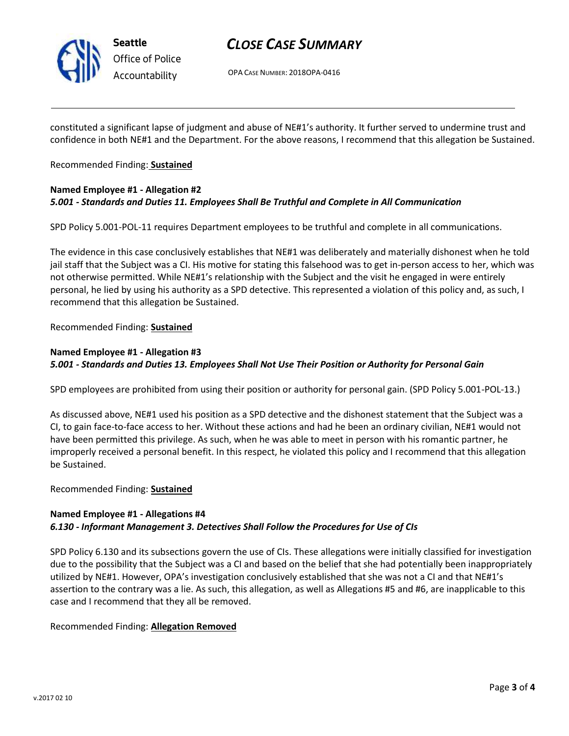

**Seattle** *Office of Police Accountability*

## *CLOSE CASE SUMMARY*

OPA CASE NUMBER: 2018OPA-0416

constituted a significant lapse of judgment and abuse of NE#1's authority. It further served to undermine trust and confidence in both NE#1 and the Department. For the above reasons, I recommend that this allegation be Sustained.

Recommended Finding: **Sustained**

### **Named Employee #1 - Allegation #2** *5.001 - Standards and Duties 11. Employees Shall Be Truthful and Complete in All Communication*

SPD Policy 5.001-POL-11 requires Department employees to be truthful and complete in all communications.

The evidence in this case conclusively establishes that NE#1 was deliberately and materially dishonest when he told jail staff that the Subject was a CI. His motive for stating this falsehood was to get in-person access to her, which was not otherwise permitted. While NE#1's relationship with the Subject and the visit he engaged in were entirely personal, he lied by using his authority as a SPD detective. This represented a violation of this policy and, as such, I recommend that this allegation be Sustained.

Recommended Finding: **Sustained**

## **Named Employee #1 - Allegation #3** *5.001 - Standards and Duties 13. Employees Shall Not Use Their Position or Authority for Personal Gain*

SPD employees are prohibited from using their position or authority for personal gain. (SPD Policy 5.001-POL-13.)

As discussed above, NE#1 used his position as a SPD detective and the dishonest statement that the Subject was a CI, to gain face-to-face access to her. Without these actions and had he been an ordinary civilian, NE#1 would not have been permitted this privilege. As such, when he was able to meet in person with his romantic partner, he improperly received a personal benefit. In this respect, he violated this policy and I recommend that this allegation be Sustained.

Recommended Finding: **Sustained**

#### **Named Employee #1 - Allegations #4** *6.130 - Informant Management 3. Detectives Shall Follow the Procedures for Use of CIs*

SPD Policy 6.130 and its subsections govern the use of CIs. These allegations were initially classified for investigation due to the possibility that the Subject was a CI and based on the belief that she had potentially been inappropriately utilized by NE#1. However, OPA's investigation conclusively established that she was not a CI and that NE#1's assertion to the contrary was a lie. As such, this allegation, as well as Allegations #5 and #6, are inapplicable to this case and I recommend that they all be removed.

Recommended Finding: **Allegation Removed**